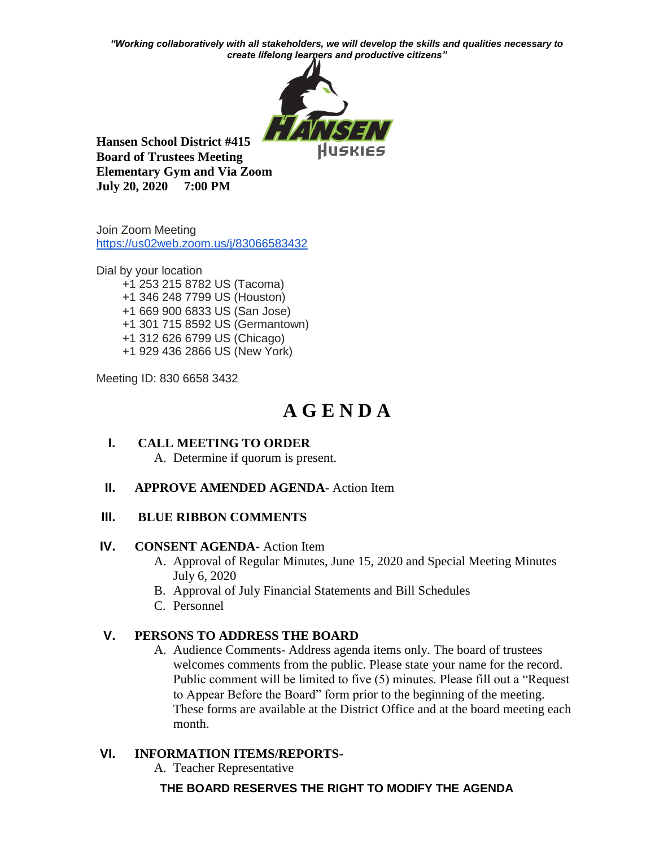*"Working collaboratively with all stakeholders, we will develop the skills and qualities necessary to create lifelong learners and productive citizens"*



**Hansen School District #415 Board of Trustees Meeting Elementary Gym and Via Zoom July 20, 2020 7:00 PM**

Join Zoom Meeting <https://us02web.zoom.us/j/83066583432>

Dial by your location +1 253 215 8782 US (Tacoma) +1 346 248 7799 US (Houston) +1 669 900 6833 US (San Jose) +1 301 715 8592 US (Germantown) +1 312 626 6799 US (Chicago) +1 929 436 2866 US (New York)

Meeting ID: 830 6658 3432

# **A G E N D A**

**I. CALL MEETING TO ORDER** A. Determine if quorum is present.

## **II. APPROVE AMENDED AGENDA**- Action Item

## **III. BLUE RIBBON COMMENTS**

## **IV. CONSENT AGENDA-** Action Item

- A. Approval of Regular Minutes, June 15, 2020 and Special Meeting Minutes July 6, 2020
- B. Approval of July Financial Statements and Bill Schedules
- C. Personnel

# **V. PERSONS TO ADDRESS THE BOARD**

A. Audience Comments- Address agenda items only. The board of trustees welcomes comments from the public. Please state your name for the record. Public comment will be limited to five (5) minutes. Please fill out a "Request to Appear Before the Board" form prior to the beginning of the meeting. These forms are available at the District Office and at the board meeting each month.

# **VI. INFORMATION ITEMS/REPORTS-**

A. Teacher Representative

# **THE BOARD RESERVES THE RIGHT TO MODIFY THE AGENDA**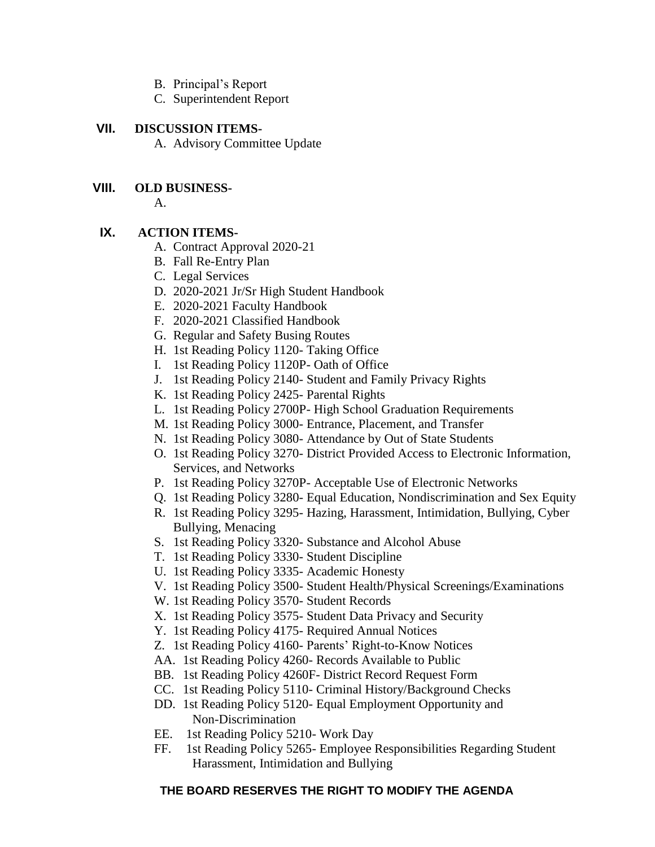- B. Principal's Report
- C. Superintendent Report

#### **VII. DISCUSSION ITEMS-**

A. Advisory Committee Update

#### **VIII. OLD BUSINESS-**

A.

## **IX. ACTION ITEMS-**

- A. Contract Approval 2020-21
- B. Fall Re-Entry Plan
- C. Legal Services
- D. 2020-2021 Jr/Sr High Student Handbook
- E. 2020-2021 Faculty Handbook
- F. 2020-2021 Classified Handbook
- G. Regular and Safety Busing Routes
- H. 1st Reading Policy 1120- Taking Office
- I. 1st Reading Policy 1120P- Oath of Office
- J. 1st Reading Policy 2140- Student and Family Privacy Rights
- K. 1st Reading Policy 2425- Parental Rights
- L. 1st Reading Policy 2700P- High School Graduation Requirements
- M. 1st Reading Policy 3000- Entrance, Placement, and Transfer
- N. 1st Reading Policy 3080- Attendance by Out of State Students
- O. 1st Reading Policy 3270- District Provided Access to Electronic Information, Services, and Networks
- P. 1st Reading Policy 3270P- Acceptable Use of Electronic Networks
- Q. 1st Reading Policy 3280- Equal Education, Nondiscrimination and Sex Equity
- R. 1st Reading Policy 3295- Hazing, Harassment, Intimidation, Bullying, Cyber Bullying, Menacing
- S. 1st Reading Policy 3320- Substance and Alcohol Abuse
- T. 1st Reading Policy 3330- Student Discipline
- U. 1st Reading Policy 3335- Academic Honesty
- V. 1st Reading Policy 3500- Student Health/Physical Screenings/Examinations
- W. 1st Reading Policy 3570- Student Records
- X. 1st Reading Policy 3575- Student Data Privacy and Security
- Y. 1st Reading Policy 4175- Required Annual Notices
- Z. 1st Reading Policy 4160- Parents' Right-to-Know Notices
- AA. 1st Reading Policy 4260- Records Available to Public
- BB. 1st Reading Policy 4260F- District Record Request Form
- CC. 1st Reading Policy 5110- Criminal History/Background Checks
- DD. 1st Reading Policy 5120- Equal Employment Opportunity and Non-Discrimination
- EE. 1st Reading Policy 5210- Work Day
- FF. 1st Reading Policy 5265- Employee Responsibilities Regarding Student Harassment, Intimidation and Bullying

## **THE BOARD RESERVES THE RIGHT TO MODIFY THE AGENDA**